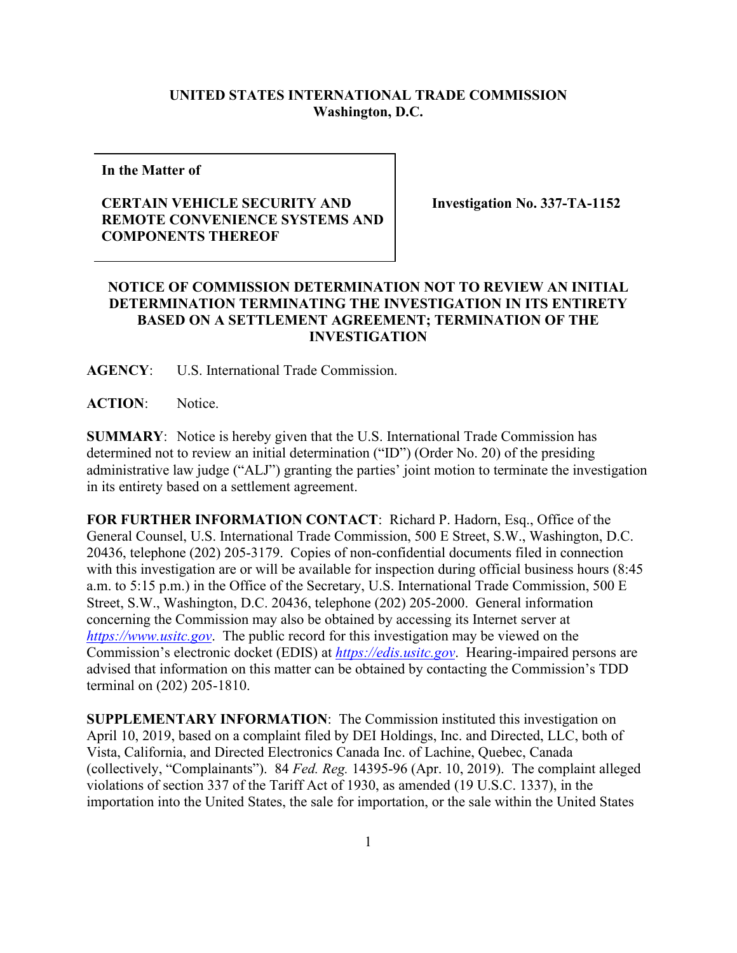## **UNITED STATES INTERNATIONAL TRADE COMMISSION Washington, D.C.**

**In the Matter of**

## **CERTAIN VEHICLE SECURITY AND REMOTE CONVENIENCE SYSTEMS AND COMPONENTS THEREOF**

**Investigation No. 337-TA-1152**

## **NOTICE OF COMMISSION DETERMINATION NOT TO REVIEW AN INITIAL DETERMINATION TERMINATING THE INVESTIGATION IN ITS ENTIRETY BASED ON A SETTLEMENT AGREEMENT; TERMINATION OF THE INVESTIGATION**

**AGENCY**: U.S. International Trade Commission.

**ACTION**: Notice.

**SUMMARY**: Notice is hereby given that the U.S. International Trade Commission has determined not to review an initial determination ("ID") (Order No. 20) of the presiding administrative law judge ("ALJ") granting the parties' joint motion to terminate the investigation in its entirety based on a settlement agreement.

**FOR FURTHER INFORMATION CONTACT**: Richard P. Hadorn, Esq., Office of the General Counsel, U.S. International Trade Commission, 500 E Street, S.W., Washington, D.C. 20436, telephone (202) 205-3179. Copies of non-confidential documents filed in connection with this investigation are or will be available for inspection during official business hours (8:45 a.m. to 5:15 p.m.) in the Office of the Secretary, U.S. International Trade Commission, 500 E Street, S.W., Washington, D.C. 20436, telephone (202) 205-2000. General information concerning the Commission may also be obtained by accessing its Internet server at *[https://www.usitc.gov](https://www.usitc.gov/)*. The public record for this investigation may be viewed on the Commission's electronic docket (EDIS) at *[https://edis.usitc.gov](https://edis.usitc.gov/)*. Hearing-impaired persons are advised that information on this matter can be obtained by contacting the Commission's TDD terminal on (202) 205-1810.

**SUPPLEMENTARY INFORMATION**: The Commission instituted this investigation on April 10, 2019, based on a complaint filed by DEI Holdings, Inc. and Directed, LLC, both of Vista, California, and Directed Electronics Canada Inc. of Lachine, Quebec, Canada (collectively, "Complainants"). 84 *Fed. Reg.* 14395-96 (Apr. 10, 2019). The complaint alleged violations of section 337 of the Tariff Act of 1930, as amended (19 U.S.C. 1337), in the importation into the United States, the sale for importation, or the sale within the United States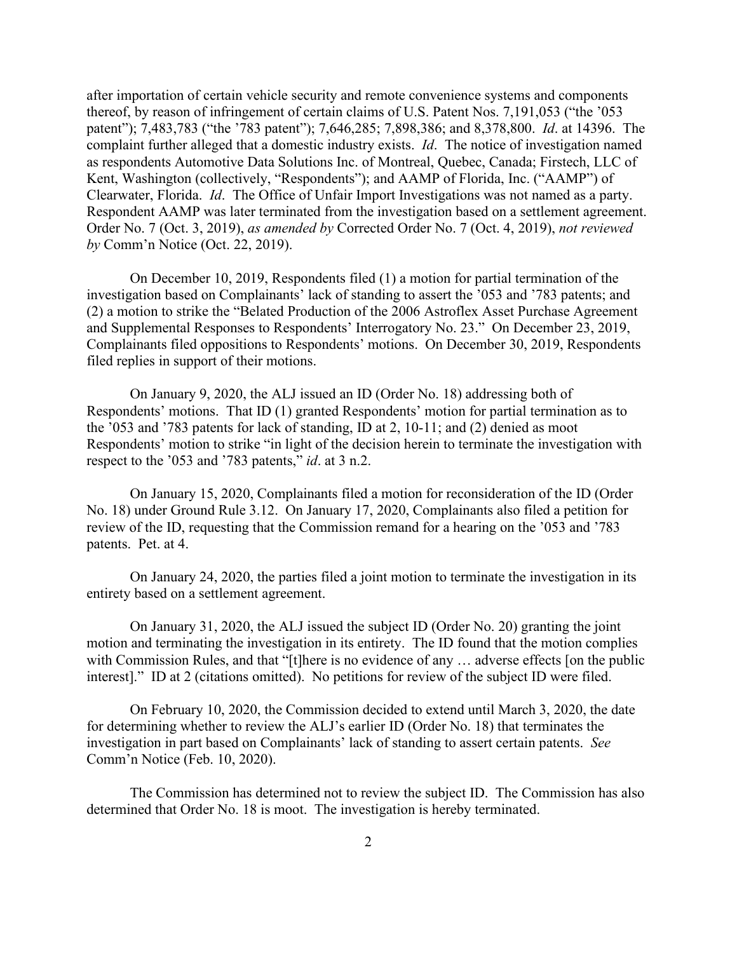after importation of certain vehicle security and remote convenience systems and components thereof, by reason of infringement of certain claims of U.S. Patent Nos. 7,191,053 ("the '053 patent"); 7,483,783 ("the '783 patent"); 7,646,285; 7,898,386; and 8,378,800. *Id*. at 14396. The complaint further alleged that a domestic industry exists. *Id*. The notice of investigation named as respondents Automotive Data Solutions Inc. of Montreal, Quebec, Canada; Firstech, LLC of Kent, Washington (collectively, "Respondents"); and AAMP of Florida, Inc. ("AAMP") of Clearwater, Florida. *Id*. The Office of Unfair Import Investigations was not named as a party. Respondent AAMP was later terminated from the investigation based on a settlement agreement. Order No. 7 (Oct. 3, 2019), *as amended by* Corrected Order No. 7 (Oct. 4, 2019), *not reviewed by* Comm'n Notice (Oct. 22, 2019).

On December 10, 2019, Respondents filed (1) a motion for partial termination of the investigation based on Complainants' lack of standing to assert the '053 and '783 patents; and (2) a motion to strike the "Belated Production of the 2006 Astroflex Asset Purchase Agreement and Supplemental Responses to Respondents' Interrogatory No. 23." On December 23, 2019, Complainants filed oppositions to Respondents' motions. On December 30, 2019, Respondents filed replies in support of their motions.

On January 9, 2020, the ALJ issued an ID (Order No. 18) addressing both of Respondents' motions. That ID (1) granted Respondents' motion for partial termination as to the '053 and '783 patents for lack of standing, ID at 2, 10-11; and (2) denied as moot Respondents' motion to strike "in light of the decision herein to terminate the investigation with respect to the '053 and '783 patents," *id*. at 3 n.2.

On January 15, 2020, Complainants filed a motion for reconsideration of the ID (Order No. 18) under Ground Rule 3.12. On January 17, 2020, Complainants also filed a petition for review of the ID, requesting that the Commission remand for a hearing on the '053 and '783 patents. Pet. at 4.

On January 24, 2020, the parties filed a joint motion to terminate the investigation in its entirety based on a settlement agreement.

On January 31, 2020, the ALJ issued the subject ID (Order No. 20) granting the joint motion and terminating the investigation in its entirety. The ID found that the motion complies with Commission Rules, and that "[t]here is no evidence of any ... adverse effects [on the public interest]." ID at 2 (citations omitted). No petitions for review of the subject ID were filed.

On February 10, 2020, the Commission decided to extend until March 3, 2020, the date for determining whether to review the ALJ's earlier ID (Order No. 18) that terminates the investigation in part based on Complainants' lack of standing to assert certain patents. *See* Comm'n Notice (Feb. 10, 2020).

The Commission has determined not to review the subject ID. The Commission has also determined that Order No. 18 is moot. The investigation is hereby terminated.